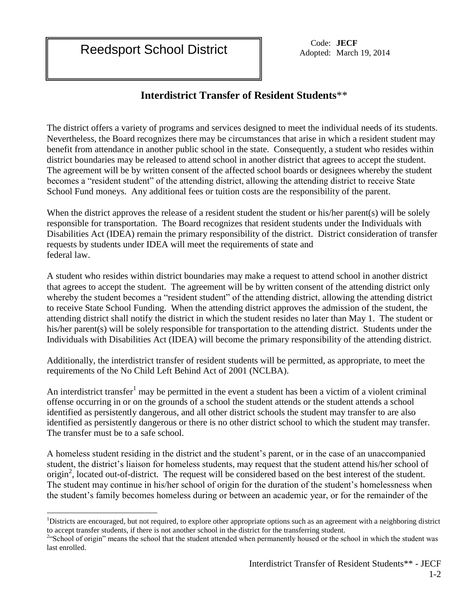$\overline{a}$ 

## **Interdistrict Transfer of Resident Students**\*\*

The district offers a variety of programs and services designed to meet the individual needs of its students. Nevertheless, the Board recognizes there may be circumstances that arise in which a resident student may benefit from attendance in another public school in the state. Consequently, a student who resides within district boundaries may be released to attend school in another district that agrees to accept the student. The agreement will be by written consent of the affected school boards or designees whereby the student becomes a "resident student" of the attending district, allowing the attending district to receive State School Fund moneys. Any additional fees or tuition costs are the responsibility of the parent.

When the district approves the release of a resident student the student or his/her parent(s) will be solely responsible for transportation. The Board recognizes that resident students under the Individuals with Disabilities Act (IDEA) remain the primary responsibility of the district. District consideration of transfer requests by students under IDEA will meet the requirements of state and federal law.

A student who resides within district boundaries may make a request to attend school in another district that agrees to accept the student. The agreement will be by written consent of the attending district only whereby the student becomes a "resident student" of the attending district, allowing the attending district to receive State School Funding. When the attending district approves the admission of the student, the attending district shall notify the district in which the student resides no later than May 1. The student or his/her parent(s) will be solely responsible for transportation to the attending district. Students under the Individuals with Disabilities Act (IDEA) will become the primary responsibility of the attending district.

Additionally, the interdistrict transfer of resident students will be permitted, as appropriate, to meet the requirements of the No Child Left Behind Act of 2001 (NCLBA).

An interdistrict transfer<sup>1</sup> may be permitted in the event a student has been a victim of a violent criminal offense occurring in or on the grounds of a school the student attends or the student attends a school identified as persistently dangerous, and all other district schools the student may transfer to are also identified as persistently dangerous or there is no other district school to which the student may transfer. The transfer must be to a safe school.

A homeless student residing in the district and the student's parent, or in the case of an unaccompanied student, the district's liaison for homeless students, may request that the student attend his/her school of origin<sup>2</sup>, located out-of-district. The request will be considered based on the best interest of the student. The student may continue in his/her school of origin for the duration of the student's homelessness when the student's family becomes homeless during or between an academic year, or for the remainder of the

<sup>&</sup>lt;sup>1</sup>Districts are encouraged, but not required, to explore other appropriate options such as an agreement with a neighboring district to accept transfer students, if there is not another school in the district for the transferring student.<br><sup>2</sup>"School of origin" means the school that the student attended when permanently housed or the school in which the

last enrolled.